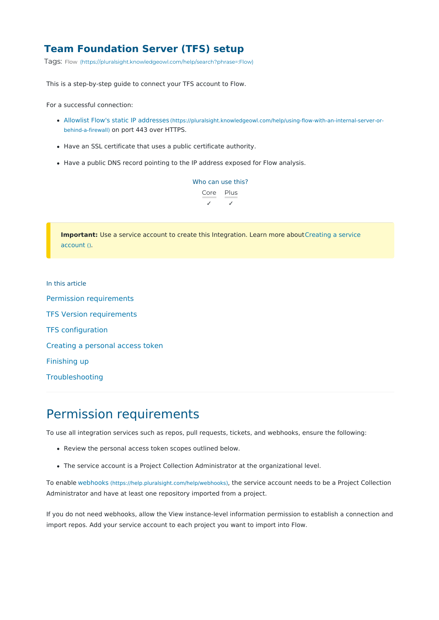#### **Team Foundation Server (TFS) setup**

Tags: [Flow](https://pluralsight.knowledgeowl.com/help/search?phrase=:Flow) [\(https://pluralsight.knowledgeowl.com/help/search?phrase=:Flow\)](https://pluralsight.knowledgeowl.com/help/search?phrase=:Flow)

This is a step-by-step guide to connect your TFS account to Flow.

For a successful connection:

- Allowlist Flow's static IP [addresses](http://pluralsight.knowledgeowl.com/help/using-flow-with-an-internal-server-or-behind-a-firewall) [\(https://pluralsight.knowledgeowl.com/help/using-flow-with-an-internal-server-or](https://pluralsight.knowledgeowl.com/help/using-flow-with-an-internal-server-or-behind-a-firewall)behind-a-firewall) on port 443 over HTTPS.
- Have an SSL certificate that uses a public certificate authority.
- Have a public DNS record pointing to the IP address exposed for Flow analysis.

Who can use this? Core Plus ✓ ✓

**Important:** Use a service account to create this Integration. Learn more about Creating a service account ().

In this article Permission [requirements](http://pluralsight.knowledgeowl.com/#permissionrequirements) TFS Version [requirements](http://pluralsight.knowledgeowl.com/#tfsversionrequirements) TFS [configuration](http://pluralsight.knowledgeowl.com/#tfsconfiguration) Creating a [personal](http://pluralsight.knowledgeowl.com/#creatingapersonalaccesstoken) access token [Finishing](http://pluralsight.knowledgeowl.com/#finishingup) up [Troubleshooting](http://pluralsight.knowledgeowl.com/#troubleshooting)

### Permission requirements

To use all integration services such as repos, pull requests, tickets, and webhooks, ensure the following:

- Review the personal access token scopes outlined below.
- The service account is a Project Collection Administrator at the organizational level.

To enable [webhooks](https://help.pluralsight.com/help/webhooks) [\(https://help.pluralsight.com/help/webhooks\)](https://help.pluralsight.com/help/webhooks), the service account needs to be a Project Collection Administrator and have at least one repository imported from a project.

If you do not need webhooks, allow the View instance-level information permission to establish a connection and import repos. Add your service account to each project you want to import into Flow.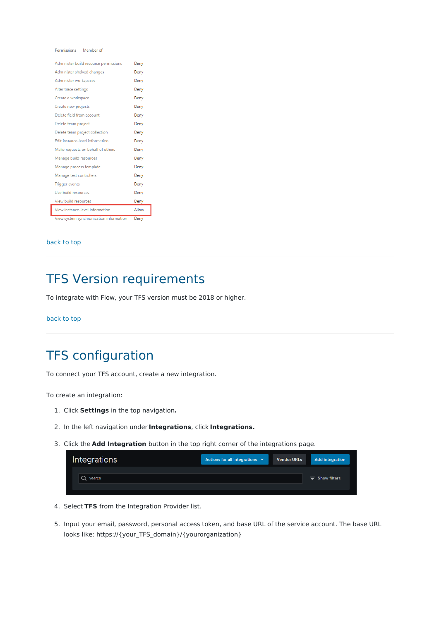Permissions Member of

| Administer build resource permissions   | Deny  |
|-----------------------------------------|-------|
| Administer shelved changes              | Deny  |
| Administer workspaces                   | Deny  |
| Alter trace settings                    | Deny  |
| Create a workspace                      | Deny  |
| Create new projects                     | Deny  |
| Delete field from account               | Deny  |
| Delete team project                     | Deny  |
| Delete team project collection          | Deny  |
| Edit instance-level information         | Deny  |
| Make requests on behalf of others       | Deny  |
| Manage build resources                  | Deny  |
| Manage process template                 | Deny  |
| Manage test controllers                 | Deny  |
| <b>Trigger events</b>                   | Deny  |
| Use build resources                     | Deny  |
| View build resources                    | Deny  |
| View instance-level information         | Allow |
| View system synchronization information | Deny  |

#### [back](http://pluralsight.knowledgeowl.com/#top) to top

## TFS Version requirements

To integrate with Flow, your TFS version must be 2018 or higher.

[back](http://pluralsight.knowledgeowl.com/#top) to top

## TFS configuration

To connect your TFS account, create a new integration.

To create an integration:

- 1. Click **Settings** in the top navigation**.**
- 2. In the left navigation under **Integrations**, click **Integrations.**
- 3. Click the **Add Integration** button in the top right corner of the integrations page.

| Integrations | Actions for all integrations $\vee$ | <b>Vendor URLs</b> | <b>Add integration</b> |
|--------------|-------------------------------------|--------------------|------------------------|
| Search       |                                     |                    | $\equiv$ Show filters  |
|              |                                     |                    |                        |

- 4. Select **TFS** from the Integration Provider list.
- 5. Input your email, password, personal access token, and base URL of the service account. The base URL looks like: https://{your\_TFS\_domain}/{yourorganization}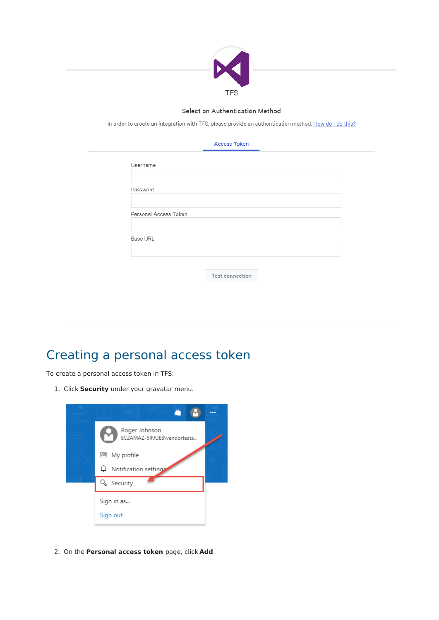| In order to create an integration with TFS, please provide an authentication method. How do I do this? |  |
|--------------------------------------------------------------------------------------------------------|--|
|                                                                                                        |  |
| <b>Access Token</b>                                                                                    |  |
| Username                                                                                               |  |
| Password                                                                                               |  |
|                                                                                                        |  |
| Personal Access Token                                                                                  |  |
| Base URL                                                                                               |  |
|                                                                                                        |  |

# Creating a personal access token

To create a personal access token in TFS:

1. Click **Security** under your gravatar menu.



2. On the **Personal access token** page, click **Add**.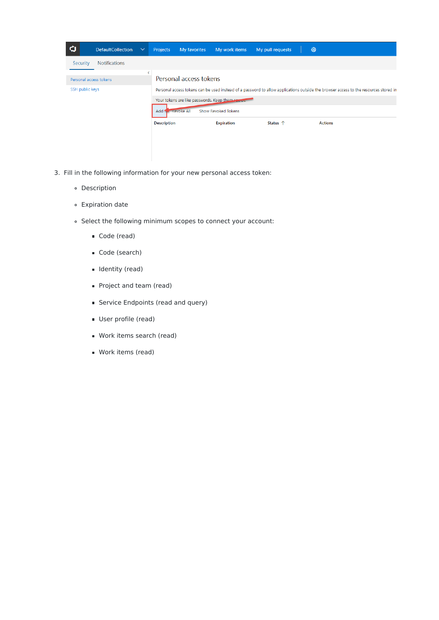| $\mathbf Q$ |                        | <b>DefaultCollection</b> | $\checkmark$ | Projects           | My favorites           | My work items                                    | My pull requests  | ද්ලි}                                                                                                                                |
|-------------|------------------------|--------------------------|--------------|--------------------|------------------------|--------------------------------------------------|-------------------|--------------------------------------------------------------------------------------------------------------------------------------|
|             | Security               | <b>Notifications</b>     |              |                    |                        |                                                  |                   |                                                                                                                                      |
|             | Personal access tokens |                          | ∢            |                    | Personal access tokens |                                                  |                   |                                                                                                                                      |
|             | SSH public keys        |                          |              |                    |                        |                                                  |                   | Personal access tokens can be used instead of a password to allow applications outside the browser access to the resources stored in |
|             |                        |                          |              |                    |                        | Your tokens are like passwords. Keep them seared |                   |                                                                                                                                      |
|             |                        |                          |              | Add <sup>1</sup>   | <b>Revoke All</b>      | Show Revoked Tokens                              |                   |                                                                                                                                      |
|             |                        |                          |              | <b>Description</b> |                        | <b>Expiration</b>                                | Status $\uparrow$ | <b>Actions</b>                                                                                                                       |
|             |                        |                          |              |                    |                        |                                                  |                   |                                                                                                                                      |
|             |                        |                          |              |                    |                        |                                                  |                   |                                                                                                                                      |

- 3. Fill in the following information for your new personal access token:
	- Description
	- Expiration date
	- Select the following minimum scopes to connect your account:
		- Code (read)
		- Code (search)
		- **I** Identity (read)
		- **Project and team (read)**
		- **Service Endpoints (read and query)**
		- User profile (read)
		- Work items search (read)
		- Work items (read)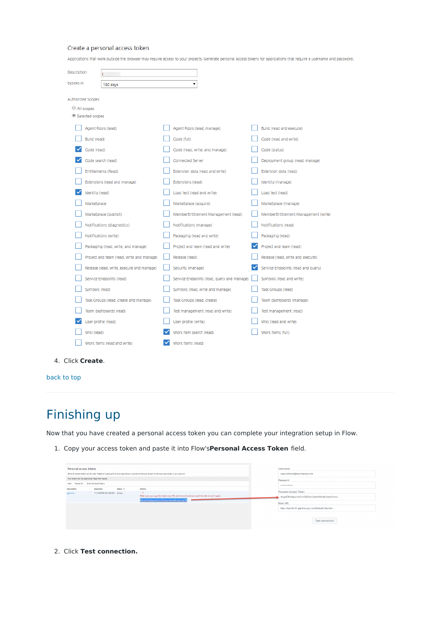#### Create a personal access token

Applications that work outside the browser may require access to your projects. Generate personal access tokens for applications that require a username and password.

| Description                   |                                           |                                            |                                      |
|-------------------------------|-------------------------------------------|--------------------------------------------|--------------------------------------|
| Expires In                    | 180 days                                  | ۰.                                         |                                      |
| <b>Authorized Scopes</b>      |                                           |                                            |                                      |
| All scopes<br>Selected scopes |                                           |                                            |                                      |
|                               |                                           |                                            |                                      |
| Agent Pools (read)            |                                           | Agent Pools (read, manage)                 | Build (read and execute)             |
| Build (read)                  |                                           | Code (full)                                | Code (read and write)                |
| Code (read)                   |                                           | Code (read, write, and manage)             | Code (status)                        |
| Code search (read)            |                                           | Connected Server                           | Deployment group (read, manage)      |
| Entitlements (Read)           |                                           | Extension data (read and write)            | Extension data (read)                |
|                               | Extensions (read and manage)              | Extensions (read)                          | Identity (manage)                    |
| Identity (read)               |                                           | Load test (read and write)                 | Load test (read)                     |
| Marketplace                   |                                           | Marketplace (acquire)                      | Marketplace (manage)                 |
| Marketplace (publish)         |                                           | MemberEntitlement Management (read)        | MemberEntitlement Management (write) |
| Notifications (diagnostics)   |                                           | Notifications (manage)                     | Notifications (read)                 |
| Notifications (write)         |                                           | Packaging (read and write)                 | Packaging (read)                     |
|                               | Packaging (read, write, and manage)       | Project and team (read and write)          | Project and team (read)              |
|                               | Project and team (read, write and manage) | Release (read)                             | Release (read, write and execute)    |
|                               | Release (read, write, execute and manage) | Security (manage)                          | Service Endpoints (read and query)   |
| Service Endpoints (read)      |                                           | Service Endpoints (read, query and manage) | Symbols (read and write)             |
| Symbols (read)                |                                           | Symbols (read, write and manage)           | Task Groups (read)                   |
|                               | Task Groups (read, create and manage)     | Task Groups (read, create)                 | Team dashboards (manage)             |
| Team dashboards (read)        |                                           | Test management (read and write)           | Test management (read)               |
| User profile (read)           |                                           | User profile (write)                       | Wiki (read and write)                |
| Wiki (read)                   |                                           | Work item search (read)                    | Work items (full)                    |
| Work items (read and write)   |                                           | Work items (read)                          |                                      |
|                               |                                           |                                            |                                      |

4. Click **Create**.

[back](http://pluralsight.knowledgeowl.com/#top) to top

# Finishing up

Now that you have created a personal access token you can complete your integration setup in Flow.

1. Copy your access token and paste it into Flow's**Personal Access Token** field.

| Personal access tokens                            |                              |                     |                                                                                                                                                    | Username                                               |
|---------------------------------------------------|------------------------------|---------------------|----------------------------------------------------------------------------------------------------------------------------------------------------|--------------------------------------------------------|
|                                                   |                              |                     | Personal access tokens can be used instead of a password to allow applications outside the browser access to the resources stored in your account. | roger.johnson@mycompany.com                            |
| Your tokens are like passwords. Keep them secret. |                              |                     |                                                                                                                                                    | Password                                               |
| Revoke All Show Revoked Tokens<br>Add             |                              |                     |                                                                                                                                                    |                                                        |
| Description                                       | Expiration                   | Status <sup>+</sup> | Actions                                                                                                                                            | Personal Access Token                                  |
| gitprime                                          | 11/14/2019 8:31:40 PM Active |                     | $\times$                                                                                                                                           |                                                        |
|                                                   |                              |                     | Make sure you copy the token now. We don't store it and you won't be able to see it again.                                                         | ofcyp43fukhjpezzhs5cv5l2j5eiux2atmdxlhs4p3cizp5fzwxq   |
|                                                   |                              |                     | ofcyp43fukhjpezzhs5cv5l2j5eiux2atmdxlhs4p3cizp5fz                                                                                                  |                                                        |
|                                                   |                              |                     |                                                                                                                                                    | Base URL                                               |
|                                                   |                              |                     |                                                                                                                                                    | https://test-tfs-01.gitprime-ops.com/DefaultCollection |
|                                                   |                              |                     |                                                                                                                                                    |                                                        |
|                                                   |                              |                     |                                                                                                                                                    | Test connection                                        |
|                                                   |                              |                     |                                                                                                                                                    |                                                        |

2. Click **Test connection.**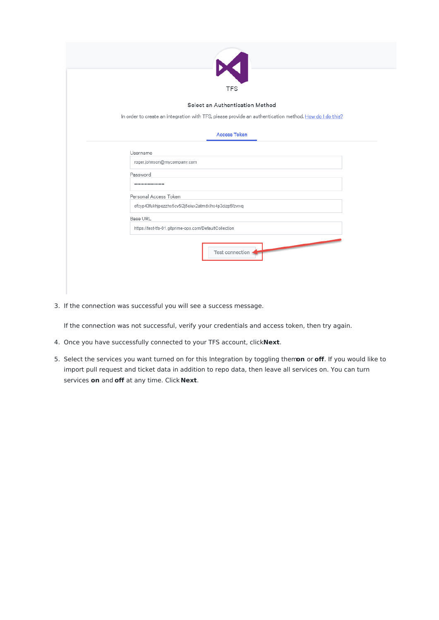| <b>TFS</b>                                                                                                                                 |
|--------------------------------------------------------------------------------------------------------------------------------------------|
| Select an Authentication Method                                                                                                            |
| In order to create an integration with TFS, please provide an authentication method. How do I do this?                                     |
| <b>Access Token</b>                                                                                                                        |
| Username<br>roger.johnson@mycompany.com                                                                                                    |
| Password<br>*********************                                                                                                          |
| Personal Access Token<br>ofcyp43fukhjpezzhs5cv5l2j5eiux2atmdxlhs4p3cizp5fzwxq                                                              |
| Base URL<br>https://test-tfs-01.gitprime-ops.com/DefaultCollection                                                                         |
| <b>Construction of the Construction of the Construction of the Construction of the Construction of the Construction</b><br>Test connection |

3. If the connection was successful you will see a success message.

If the connection was not successful, verify your credentials and access token, then try again.

- 4. Once you have successfully connected to your TFS account, click**Next**.
- 5. Select the services you want turned on for this Integration by toggling them**on** or **off**. If you would like to import pull request and ticket data in addition to repo data, then leave all services on. You can turn services **on** and **off** at any time. Click **Next**.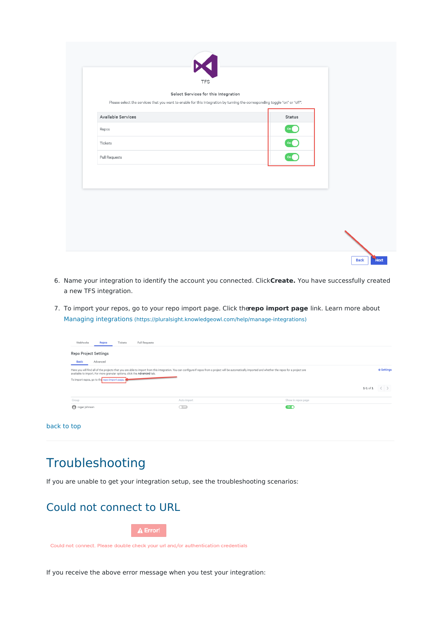|                    | $\sum_{\text{TPS}}$<br>Select Services for this Integration<br>Please select the services that you want to enable for this Integration by turning the corresponding toggle "on" or "off". |                 |  |
|--------------------|-------------------------------------------------------------------------------------------------------------------------------------------------------------------------------------------|-----------------|--|
| Available Services |                                                                                                                                                                                           | Status          |  |
| Repos              |                                                                                                                                                                                           | On              |  |
| Tickets            |                                                                                                                                                                                           | $On$ $\bigcirc$ |  |
| Pull Requests      |                                                                                                                                                                                           | On              |  |
|                    |                                                                                                                                                                                           |                 |  |
|                    |                                                                                                                                                                                           |                 |  |
|                    |                                                                                                                                                                                           |                 |  |
|                    |                                                                                                                                                                                           |                 |  |

- 6. Name your integration to identify the account you connected. Click**Create.** You have successfully created a new TFS integration.
- 7. To import your repos, go to your repo import page. Click the**repo import page** link. Learn more about Managing [integrations](http://pluralsight.knowledgeowl.com/help/manage-integrations) [\(https://pluralsight.knowledgeowl.com/help/manage-integrations\)](https://pluralsight.knowledgeowl.com/help/manage-integrations)

| Repo Project Settings                                                   |                                                                                                                                                                                                            |                                       |              |                   |
|-------------------------------------------------------------------------|------------------------------------------------------------------------------------------------------------------------------------------------------------------------------------------------------------|---------------------------------------|--------------|-------------------|
| Advanced<br><b>Basic</b>                                                |                                                                                                                                                                                                            |                                       |              |                   |
|                                                                         | Here you will find all of the projects that you are able to import from this integration. You can configure if repos from a project will be automatically imported and whether the repos for a project are |                                       |              | <b>O</b> Settings |
| available to import. For more granular options, click the Advanced tab. |                                                                                                                                                                                                            |                                       |              |                   |
| To import repos, go to the repo import page.                            |                                                                                                                                                                                                            |                                       | $1 - 1 of 1$ |                   |
|                                                                         |                                                                                                                                                                                                            |                                       |              |                   |
| Group<br>oger johnson                                                   | Auto import<br>$\bigcap$ off                                                                                                                                                                               | Show in repos page<br>On <sub>o</sub> |              |                   |

## Troubleshooting

If you are unable to get your integration setup, see the troubleshooting scenarios:

### Could not connect to URL

 $\triangle$  Error!

Could not connect. Please double check your url and/or authentication credentials

If you receive the above error message when you test your integration: